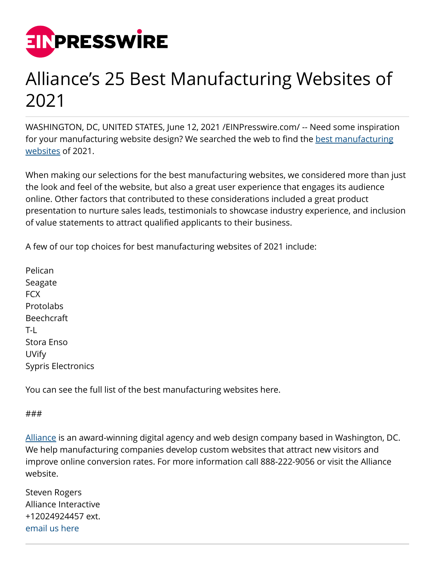

## Alliance's 25 Best Manufacturing Websites of 2021

WASHINGTON, DC, UNITED STATES, June 12, 2021 /[EINPresswire.com/](http://www.einpresswire.com) -- Need some inspiration for your manufacturing website design? We searched the web to find the [best manufacturing](https://www.allianceinteractive.com/blog/25-best-manufacturing-websites-examples/) [websites](https://www.allianceinteractive.com/blog/25-best-manufacturing-websites-examples/) of 2021.

When making our selections for the best manufacturing websites, we considered more than just the look and feel of the website, but also a great user experience that engages its audience online. Other factors that contributed to these considerations included a great product presentation to nurture sales leads, testimonials to showcase industry experience, and inclusion of value statements to attract qualified applicants to their business.

A few of our top choices for best manufacturing websites of 2021 include:

Pelican Seagate FCX **Protolabs** Beechcraft T-L Stora Enso UVify Sypris Electronics

You can see the full list of the best manufacturing websites here.

## ###

[Alliance](https://www.allianceinteractive.com/) is an award-winning digital agency and web design company based in Washington, DC. We help manufacturing companies develop custom websites that attract new visitors and improve online conversion rates. For more information call 888-222-9056 or visit the Alliance website.

| <b>Steven Rogers</b> |
|----------------------|
| Alliance Interactive |
| +12024924457 ext.    |
| email us here        |